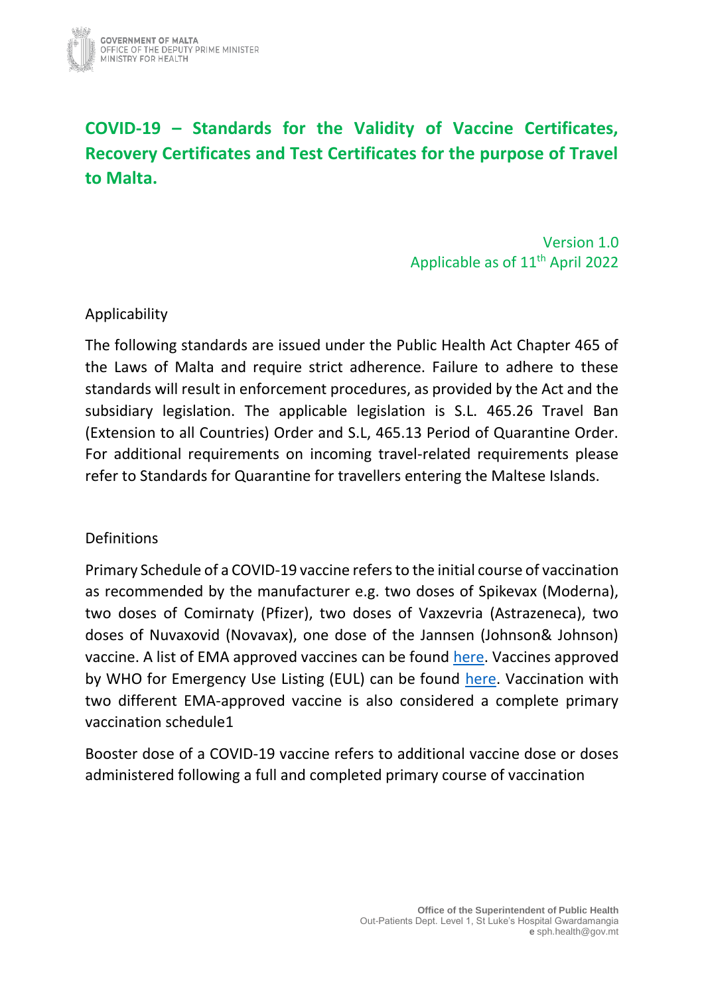

# **COVID-19 – Standards for the Validity of Vaccine Certificates, Recovery Certificates and Test Certificates for the purpose of Travel to Malta.**

Version 1.0 Applicable as of 11th April 2022

#### Applicability

The following standards are issued under the Public Health Act Chapter 465 of the Laws of Malta and require strict adherence. Failure to adhere to these standards will result in enforcement procedures, as provided by the Act and the subsidiary legislation. The applicable legislation is S.L. 465.26 Travel Ban (Extension to all Countries) Order and S.L, 465.13 Period of Quarantine Order. For additional requirements on incoming travel-related requirements please refer to Standards for Quarantine for travellers entering the Maltese Islands.

#### Definitions

Primary Schedule of a COVID-19 vaccine refers to the initial course of vaccination as recommended by the manufacturer e.g. two doses of Spikevax (Moderna), two doses of Comirnaty (Pfizer), two doses of Vaxzevria (Astrazeneca), two doses of Nuvaxovid (Novavax), one dose of the Jannsen (Johnson& Johnson) vaccine. A list of EMA approved vaccines can be found [here.](https://www.ema.europa.eu/en/human-regulatory/overview/public-health-threats/coronavirus-disease-covid-19/treatments-vaccines/vaccines-covid-19/covid-19-vaccines-authorised) Vaccines approved by WHO for Emergency Use Listing (EUL) can be found [here.](https://extranet.who.int/pqweb/sites/default/files/documents/Status_COVID_VAX_02March2022.pdf) Vaccination with two different EMA-approved vaccine is also considered a complete primary vaccination schedule1

Booster dose of a COVID-19 vaccine refers to additional vaccine dose or doses administered following a full and completed primary course of vaccination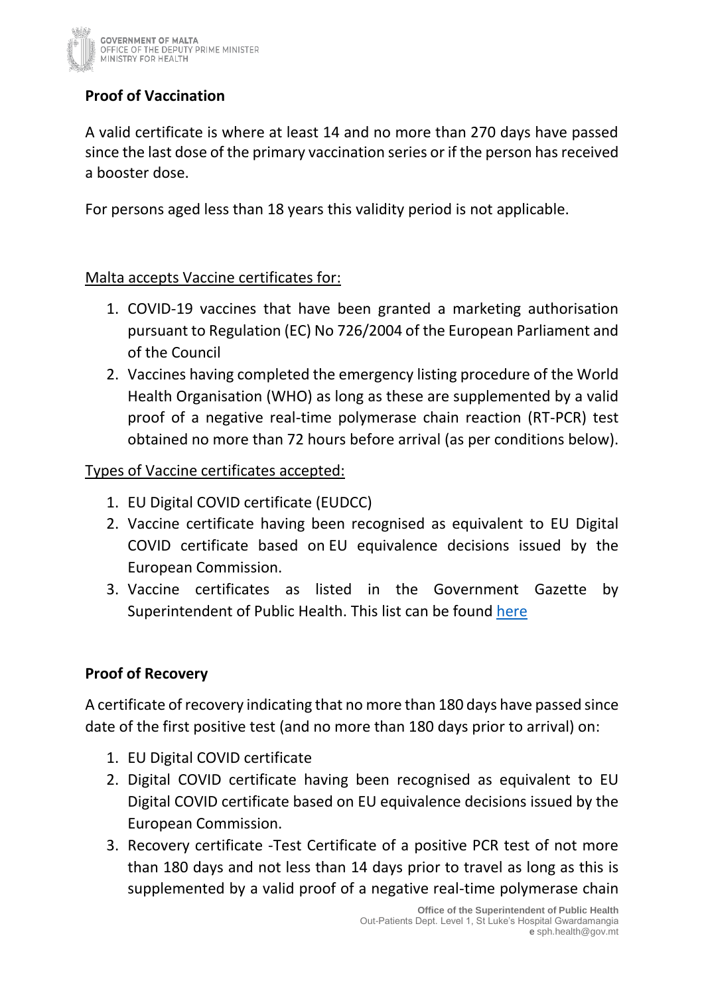

# **Proof of Vaccination**

A valid certificate is where at least 14 and no more than 270 days have passed since the last dose of the primary vaccination series or if the person has received a booster dose.

For persons aged less than 18 years this validity period is not applicable.

#### Malta accepts Vaccine certificates for:

- 1. COVID-19 vaccines that have been granted a marketing authorisation pursuant to Regulation (EC) No 726/2004 of the European Parliament and of the Council
- 2. Vaccines having completed the emergency listing procedure of the World Health Organisation (WHO) as long as these are supplemented by a valid proof of a negative real-time polymerase chain reaction (RT-PCR) test obtained no more than 72 hours before arrival (as per conditions below).

#### Types of Vaccine certificates accepted:

- 1. EU Digital COVID certificate (EUDCC)
- 2. Vaccine certificate having been recognised as equivalent to EU Digital COVID certificate based on EU equivalence decisions issued by the European Commission.
- 3. Vaccine certificates as listed in the Government Gazette by Superintendent of Public Health. This list can be found [here](https://deputyprimeminister.gov.mt/en/health-promotion/covid-19/Pages/travel.aspx)

## **Proof of Recovery**

A certificate of recovery indicating that no more than 180 days have passed since date of the first positive test (and no more than 180 days prior to arrival) on:

- 1. EU Digital COVID certificate
- 2. Digital COVID certificate having been recognised as equivalent to EU Digital COVID certificate based on EU equivalence decisions issued by the European Commission.
- 3. Recovery certificate -Test Certificate of a positive PCR test of not more than 180 days and not less than 14 days prior to travel as long as this is supplemented by a valid proof of a negative real-time polymerase chain